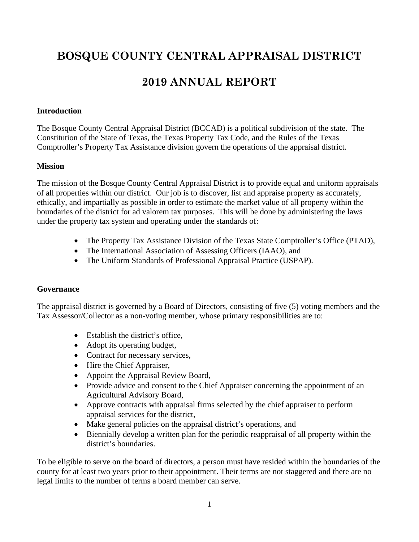# **BOSQUE COUNTY CENTRAL APPRAISAL DISTRICT**

# **2019 ANNUAL REPORT**

#### **Introduction**

The Bosque County Central Appraisal District (BCCAD) is a political subdivision of the state. The Constitution of the State of Texas, the Texas Property Tax Code, and the Rules of the Texas Comptroller's Property Tax Assistance division govern the operations of the appraisal district.

#### **Mission**

The mission of the Bosque County Central Appraisal District is to provide equal and uniform appraisals of all properties within our district. Our job is to discover, list and appraise property as accurately, ethically, and impartially as possible in order to estimate the market value of all property within the boundaries of the district for ad valorem tax purposes. This will be done by administering the laws under the property tax system and operating under the standards of:

- The Property Tax Assistance Division of the Texas State Comptroller's Office (PTAD),
- The International Association of Assessing Officers (IAAO), and
- The Uniform Standards of Professional Appraisal Practice (USPAP).

# **Governance**

The appraisal district is governed by a Board of Directors, consisting of five (5) voting members and the Tax Assessor/Collector as a non-voting member, whose primary responsibilities are to:

- Establish the district's office,
- Adopt its operating budget,
- Contract for necessary services,
- Hire the Chief Appraiser,
- Appoint the Appraisal Review Board,
- Provide advice and consent to the Chief Appraiser concerning the appointment of an Agricultural Advisory Board,
- Approve contracts with appraisal firms selected by the chief appraiser to perform appraisal services for the district,
- Make general policies on the appraisal district's operations, and
- Biennially develop a written plan for the periodic reappraisal of all property within the district's boundaries.

To be eligible to serve on the board of directors, a person must have resided within the boundaries of the county for at least two years prior to their appointment. Their terms are not staggered and there are no legal limits to the number of terms a board member can serve.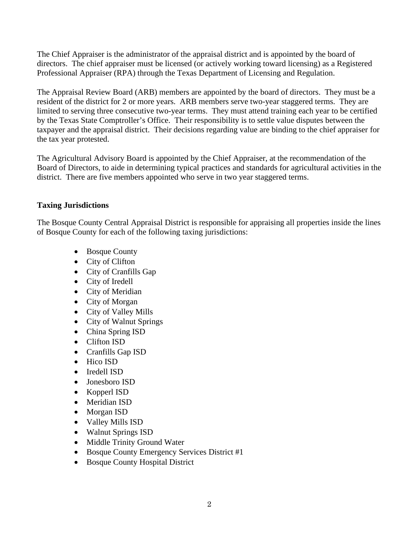The Chief Appraiser is the administrator of the appraisal district and is appointed by the board of directors. The chief appraiser must be licensed (or actively working toward licensing) as a Registered Professional Appraiser (RPA) through the Texas Department of Licensing and Regulation.

The Appraisal Review Board (ARB) members are appointed by the board of directors. They must be a resident of the district for 2 or more years. ARB members serve two-year staggered terms. They are limited to serving three consecutive two-year terms. They must attend training each year to be certified by the Texas State Comptroller's Office. Their responsibility is to settle value disputes between the taxpayer and the appraisal district. Their decisions regarding value are binding to the chief appraiser for the tax year protested.

The Agricultural Advisory Board is appointed by the Chief Appraiser, at the recommendation of the Board of Directors, to aide in determining typical practices and standards for agricultural activities in the district. There are five members appointed who serve in two year staggered terms.

# **Taxing Jurisdictions**

The Bosque County Central Appraisal District is responsible for appraising all properties inside the lines of Bosque County for each of the following taxing jurisdictions:

- Bosque County
- City of Clifton
- City of Cranfills Gap
- City of Iredell
- City of Meridian
- City of Morgan
- City of Valley Mills
- City of Walnut Springs
- China Spring ISD
- Clifton ISD
- Cranfills Gap ISD
- Hico ISD
- Iredell ISD
- Jonesboro ISD
- Kopperl ISD
- Meridian ISD
- Morgan ISD
- Valley Mills ISD
- Walnut Springs ISD
- Middle Trinity Ground Water
- Bosque County Emergency Services District #1
- Bosque County Hospital District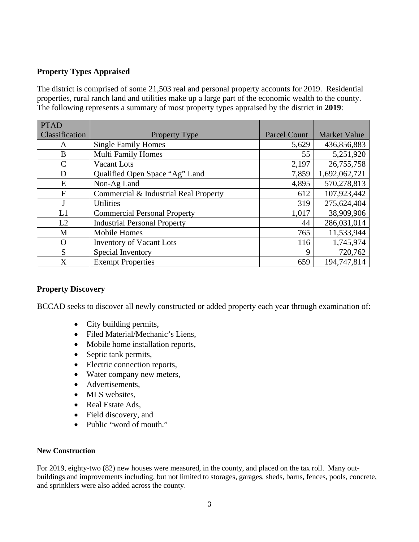#### **Property Types Appraised**

The district is comprised of some 21,503 real and personal property accounts for 2019. Residential properties, rural ranch land and utilities make up a large part of the economic wealth to the county. The following represents a summary of most property types appraised by the district in **2019**:

| <b>PTAD</b>    |                                       |                     |                     |
|----------------|---------------------------------------|---------------------|---------------------|
| Classification | <b>Property Type</b>                  | <b>Parcel Count</b> | <b>Market Value</b> |
| A              | <b>Single Family Homes</b>            | 5,629               | 436,856,883         |
| B              | <b>Multi Family Homes</b>             | 55                  | 5,251,920           |
| C              | Vacant Lots                           | 2,197               | 26,755,758          |
| D              | Qualified Open Space "Ag" Land        | 7,859               | 1,692,062,721       |
| E              | Non-Ag Land                           | 4,895               | 570,278,813         |
| F              | Commercial & Industrial Real Property | 612                 | 107,923,442         |
|                | <b>Utilities</b>                      | 319                 | 275,624,404         |
| L1             | <b>Commercial Personal Property</b>   | 1,017               | 38,909,906          |
| L2             | <b>Industrial Personal Property</b>   | 44                  | 286,031,014         |
| M              | <b>Mobile Homes</b>                   | 765                 | 11,533,944          |
| O              | <b>Inventory of Vacant Lots</b>       | 116                 | 1,745,974           |
| S              | Special Inventory                     | 9                   | 720,762             |
| X              | <b>Exempt Properties</b>              | 659                 | 194,747,814         |

#### **Property Discovery**

BCCAD seeks to discover all newly constructed or added property each year through examination of:

- City building permits,
- Filed Material/Mechanic's Liens,
- Mobile home installation reports,
- Septic tank permits,
- Electric connection reports,
- Water company new meters,
- Advertisements,
- MLS websites,
- Real Estate Ads,
- Field discovery, and
- Public "word of mouth."

#### **New Construction**

For 2019, eighty-two (82) new houses were measured, in the county, and placed on the tax roll. Many outbuildings and improvements including, but not limited to storages, garages, sheds, barns, fences, pools, concrete, and sprinklers were also added across the county.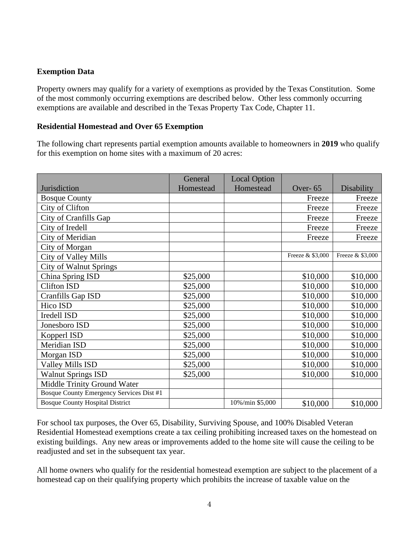# **Exemption Data**

Property owners may qualify for a variety of exemptions as provided by the Texas Constitution. Some of the most commonly occurring exemptions are described below. Other less commonly occurring exemptions are available and described in the Texas Property Tax Code, Chapter 11.

### **Residential Homestead and Over 65 Exemption**

The following chart represents partial exemption amounts available to homeowners in **2019** who qualify for this exemption on home sites with a maximum of 20 acres:

|                                          | General   | <b>Local Option</b> |                  |                   |
|------------------------------------------|-----------|---------------------|------------------|-------------------|
| Jurisdiction                             | Homestead | Homestead           | Over-65          | <b>Disability</b> |
| <b>Bosque County</b>                     |           |                     | Freeze           | Freeze            |
| City of Clifton                          |           |                     | Freeze           | Freeze            |
| City of Cranfills Gap                    |           |                     | Freeze           | Freeze            |
| City of Iredell                          |           |                     | Freeze           | Freeze            |
| City of Meridian                         |           |                     | Freeze           | Freeze            |
| City of Morgan                           |           |                     |                  |                   |
| <b>City of Valley Mills</b>              |           |                     | Freeze & \$3,000 | Freeze & \$3,000  |
| <b>City of Walnut Springs</b>            |           |                     |                  |                   |
| China Spring ISD                         | \$25,000  |                     | \$10,000         | \$10,000          |
| <b>Clifton ISD</b>                       | \$25,000  |                     | \$10,000         | \$10,000          |
| Cranfills Gap ISD                        | \$25,000  |                     | \$10,000         | \$10,000          |
| Hico ISD                                 | \$25,000  |                     | \$10,000         | \$10,000          |
| Iredell ISD                              | \$25,000  |                     | \$10,000         | \$10,000          |
| Jonesboro ISD                            | \$25,000  |                     | \$10,000         | \$10,000          |
| Kopperl ISD                              | \$25,000  |                     | \$10,000         | \$10,000          |
| Meridian ISD                             | \$25,000  |                     | \$10,000         | \$10,000          |
| Morgan ISD                               | \$25,000  |                     | \$10,000         | \$10,000          |
| <b>Valley Mills ISD</b>                  | \$25,000  |                     | \$10,000         | \$10,000          |
| <b>Walnut Springs ISD</b>                | \$25,000  |                     | \$10,000         | \$10,000          |
| Middle Trinity Ground Water              |           |                     |                  |                   |
| Bosque County Emergency Services Dist #1 |           |                     |                  |                   |
| <b>Bosque County Hospital District</b>   |           | 10%/min \$5,000     | \$10,000         | \$10,000          |

For school tax purposes, the Over 65, Disability, Surviving Spouse, and 100% Disabled Veteran Residential Homestead exemptions create a tax ceiling prohibiting increased taxes on the homestead on existing buildings. Any new areas or improvements added to the home site will cause the ceiling to be readjusted and set in the subsequent tax year.

All home owners who qualify for the residential homestead exemption are subject to the placement of a homestead cap on their qualifying property which prohibits the increase of taxable value on the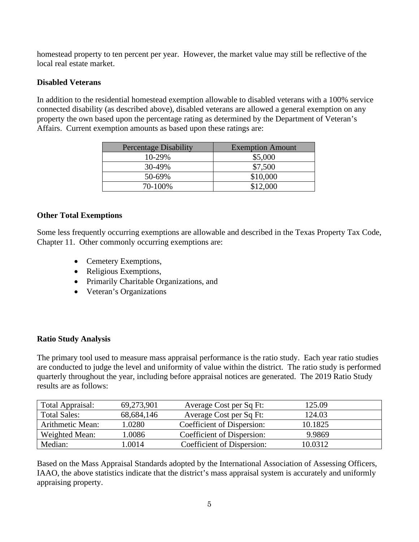homestead property to ten percent per year. However, the market value may still be reflective of the local real estate market.

# **Disabled Veterans**

In addition to the residential homestead exemption allowable to disabled veterans with a 100% service connected disability (as described above), disabled veterans are allowed a general exemption on any property the own based upon the percentage rating as determined by the Department of Veteran's Affairs. Current exemption amounts as based upon these ratings are:

| <b>Percentage Disability</b> | <b>Exemption Amount</b> |
|------------------------------|-------------------------|
| 10-29%                       | \$5,000                 |
| 30-49%                       | \$7,500                 |
| 50-69%                       | \$10,000                |
| 70-100%                      | \$12,000                |

# **Other Total Exemptions**

Some less frequently occurring exemptions are allowable and described in the Texas Property Tax Code, Chapter 11. Other commonly occurring exemptions are:

- Cemetery Exemptions,
- Religious Exemptions,
- Primarily Charitable Organizations, and
- Veteran's Organizations

# **Ratio Study Analysis**

The primary tool used to measure mass appraisal performance is the ratio study. Each year ratio studies are conducted to judge the level and uniformity of value within the district. The ratio study is performed quarterly throughout the year, including before appraisal notices are generated. The 2019 Ratio Study results are as follows:

| Total Appraisal:    | 69,273,901 | Average Cost per Sq Ft:    | 125.09  |
|---------------------|------------|----------------------------|---------|
| <b>Total Sales:</b> | 68,684,146 | Average Cost per Sq Ft:    | 124.03  |
| Arithmetic Mean:    | 1.0280     | Coefficient of Dispersion: | 10.1825 |
| Weighted Mean:      | .0086      | Coefficient of Dispersion: | 9.9869  |
| Median:             | .0014      | Coefficient of Dispersion: | 10.0312 |

Based on the Mass Appraisal Standards adopted by the International Association of Assessing Officers, IAAO, the above statistics indicate that the district's mass appraisal system is accurately and uniformly appraising property.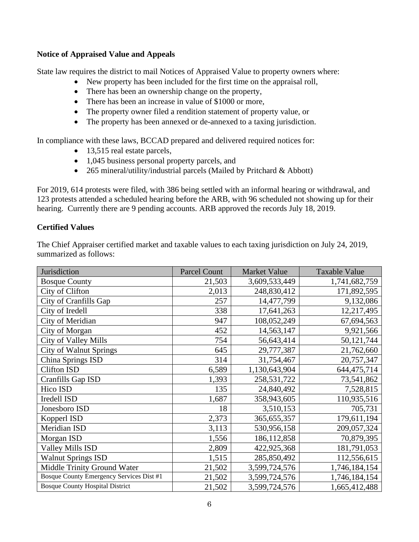#### **Notice of Appraised Value and Appeals**

State law requires the district to mail Notices of Appraised Value to property owners where:

- New property has been included for the first time on the appraisal roll,
- There has been an ownership change on the property,
- There has been an increase in value of \$1000 or more,
- The property owner filed a rendition statement of property value, or
- The property has been annexed or de-annexed to a taxing jurisdiction.

In compliance with these laws, BCCAD prepared and delivered required notices for:

- 13,515 real estate parcels,
- 1,045 business personal property parcels, and
- 265 mineral/utility/industrial parcels (Mailed by Pritchard & Abbott)

For 2019, 614 protests were filed, with 386 being settled with an informal hearing or withdrawal, and 123 protests attended a scheduled hearing before the ARB, with 96 scheduled not showing up for their hearing. Currently there are 9 pending accounts. ARB approved the records July 18, 2019.

# **Certified Values**

The Chief Appraiser certified market and taxable values to each taxing jurisdiction on July 24, 2019, summarized as follows:

| Jurisdiction                             | <b>Parcel Count</b> | <b>Market Value</b> | <b>Taxable Value</b> |
|------------------------------------------|---------------------|---------------------|----------------------|
| <b>Bosque County</b>                     | 21,503              | 3,609,533,449       | 1,741,682,759        |
| City of Clifton                          | 2,013               | 248,830,412         | 171,892,595          |
| City of Cranfills Gap                    | 257                 | 14,477,799          | 9,132,086            |
| City of Iredell                          | 338                 | 17,641,263          | 12,217,495           |
| City of Meridian                         | 947                 | 108,052,249         | 67,694,563           |
| City of Morgan                           | 452                 | 14,563,147          | 9,921,566            |
| <b>City of Valley Mills</b>              | 754                 | 56,643,414          | 50,121,744           |
| <b>City of Walnut Springs</b>            | 645                 | 29,777,387          | 21,762,660           |
| China Springs ISD                        | 314                 | 31,754,467          | 20,757,347           |
| <b>Clifton ISD</b>                       | 6,589               | 1,130,643,904       | 644,475,714          |
| Cranfills Gap ISD                        | 1,393               | 258,531,722         | 73,541,862           |
| Hico ISD                                 | 135                 | 24,840,492          | 7,528,815            |
| Iredell ISD                              | 1,687               | 358,943,605         | 110,935,516          |
| Jonesboro ISD                            | 18                  | 3,510,153           | 705,731              |
| Kopperl ISD                              | 2,373               | 365, 655, 357       | 179,611,194          |
| Meridian ISD                             | 3,113               | 530,956,158         | 209,057,324          |
| Morgan ISD                               | 1,556               | 186, 112, 858       | 70,879,395           |
| <b>Valley Mills ISD</b>                  | 2,809               | 422,925,368         | 181,791,053          |
| <b>Walnut Springs ISD</b>                | 1,515               | 285,850,492         | 112,556,615          |
| Middle Trinity Ground Water              | 21,502              | 3,599,724,576       | 1,746,184,154        |
| Bosque County Emergency Services Dist #1 | 21,502              | 3,599,724,576       | 1,746,184,154        |
| <b>Bosque County Hospital District</b>   | 21,502              | 3,599,724,576       | 1,665,412,488        |